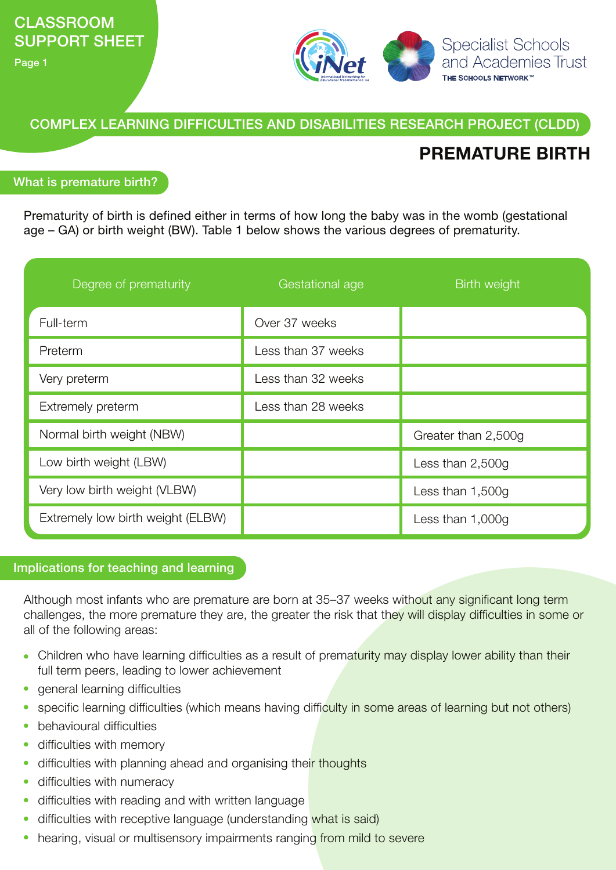Page 1



COMPLEX LEARNING DIFFICULTIES AND DISABILITIES RESEARCH PROJECT (CLDD)

# **PREMATURE BIRTH**

### What is premature birth?

Prematurity of birth is defined either in terms of how long the baby was in the womb (gestational age – GA) or birth weight (BW). Table 1 below shows the various degrees of prematurity.

| Degree of prematurity             | Gestational age    | Birth weight        |
|-----------------------------------|--------------------|---------------------|
| Full-term                         | Over 37 weeks      |                     |
| Preterm                           | Less than 37 weeks |                     |
| Very preterm                      | Less than 32 weeks |                     |
| Extremely preterm                 | Less than 28 weeks |                     |
| Normal birth weight (NBW)         |                    | Greater than 2,500g |
| Low birth weight (LBW)            |                    | Less than 2,500g    |
| Very low birth weight (VLBW)      |                    | Less than $1,500g$  |
| Extremely low birth weight (ELBW) |                    | Less than $1,000g$  |

### Implications for teaching and learning

Although most infants who are premature are born at 35–37 weeks without any significant long term challenges, the more premature they are, the greater the risk that they will display difficulties in some or all of the following areas:

- Children who have learning difficulties as a result of prematurity may display lower ability than their full term peers, leading to lower achievement
- general learning difficulties
- specific learning difficulties (which means having difficulty in some areas of learning but not others)  $\bullet$
- behavioural difficulties  $\bullet$
- difficulties with memory
- difficulties with planning ahead and organising their thoughts  $\bullet$
- difficulties with numeracy  $\bullet$
- difficulties with reading and with written language
- difficulties with receptive language (understanding what is said)
- hearing, visual or multisensory impairments ranging from mild to severe